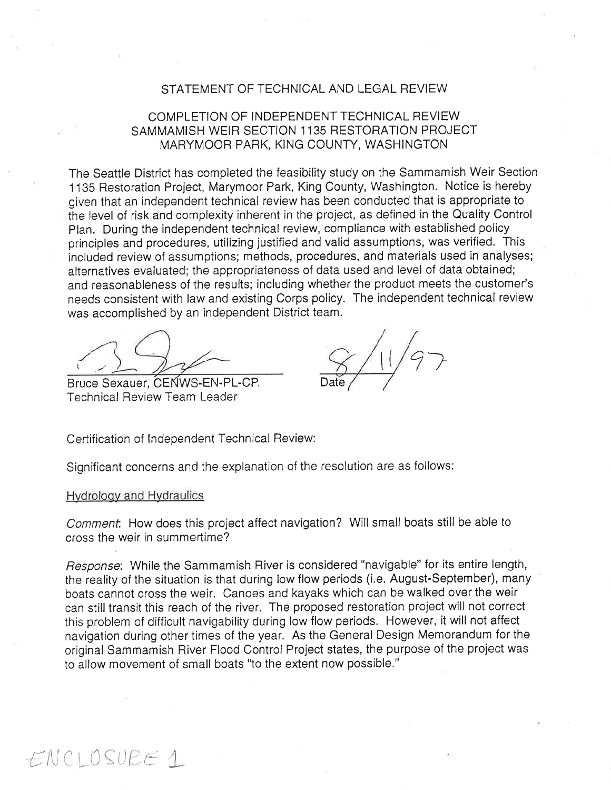## STATEMENT OF TECHNICAL AND LEGAL REVIEW

# COMPLETION OF INDEPENDENT TECHNICAL REVIEW SAMMAMISH WEIR SECTION 1135 RESTORATION PROJECT MARYMOOR PARK, KING COUNTY, WASHINGTON

The Seattle District has completed the feasibility study on the Sammamish Weir Section <sup>1</sup>135 Restoration Project, Marymoor Park, King County, Washington. Notice is hereby given that an independent technical review has been conducted that is appropriate to the level of risk and complexity inherent in the project, as defined in the Quality Control Plan. During the independent technical review, compliance with established policy principles and procedures, utilizing justified and valid assumptions, was verified. This included review of assumptions; methods, procedures, and materials used in analyses; alternatives evaluated; the appropriateness of data used and level of data obtained; and reasonableness of the results; including whether the product meets the customer's needs consistent with law and existing Corps policy. The independent technical review was accomplished by an independent District team.

Bruce Sexauer, CENWS-EN-PL-CP. Technical Review Team Leader

 $1/97$ 

Certification of Independent Technical Review:

Significant concerns and the explanation of the resolution are as follows:

Hvdroloov and Hvdraulics

 $ENCLOSUEE1$ 

Comment. How does this project affect navigation? Will small boats still be able to cross the weir in summertíme?

Response: While the Sammamish River is considered "navigable" for its entire length, the reality of the situation is that during low flow periods (i.e. August-September), many boats cannot cross the weir. Canoes and kayaks which can be walked over the weir can still transit this reach of the river. The proposed restoration project will not correct this problem of difficult navigability during low flow períods. However, it will not affect navigation during other times of the year. As the General Design Memorandum for the original Sammamish River Flood Control Project states, the purpose of the project was to allow movement of small boats "to the extent now possible."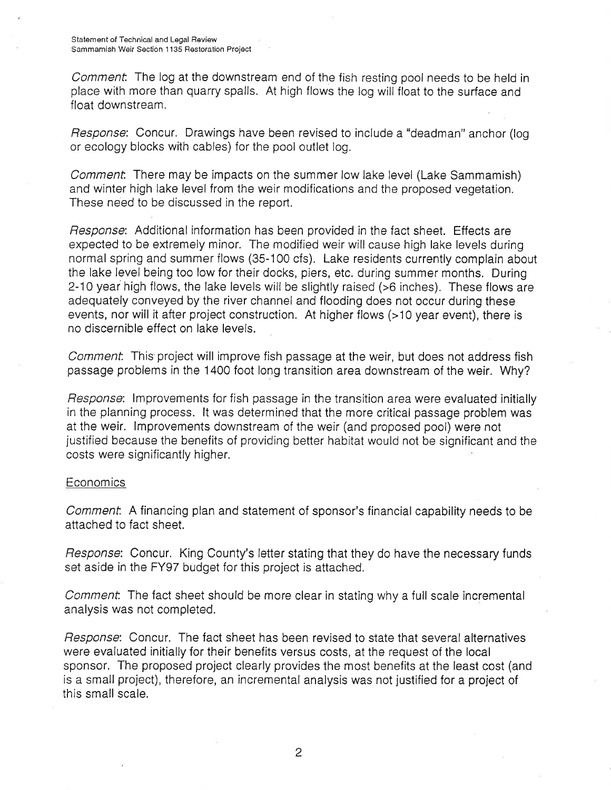Comment. The log at the downstream end of the fish resting pool needs to be held in place with more than quarry spalls. At high flows the log wilifioat to the surface and float downstream.

Response: Concur. Drawings have been revised to include a "deadman" anchor (log or ecology blocks with cables) for the pool outlet log.

Comment. There may be impacts on the summer low lake level (Lake Sammamish) and w'nter high lake level from the weir modifications and the proposed vegetation. These need to be discussed in the report.

Response: Additional information has been provided in the fact sheet. Effects are expected to be extremely minor. The modified weir will cause high lake levels during normal spring and summer flows (35-100 cfs). Lake residents currently complain about the lake level being too low for their docks, piers, etc. during summer months. During 2-10 year high flows, the lake levels will be slightly raised (>6 inches). These flows are adequately conveyed by the river channel and flooding does not occur during these events, nor will it after project construction. At higher flows (>10 year event), there is no discernible effect on lake levels.

Comment. This project will improve fish passage at the weir, but does not address fish passage problems in the 1400 foot long transition area downstream of the weir. Why?

Response: lmprovements for fish passage in the transition area were evaluated initially in the planning process. lt was determined that the more critical passage problem was at the weir. lmprovements downstream of the weir (and proposed pool) were not justified because the benefits of providing better habitat would not be significant and the costs were significantly higher.

### **Economics**

Commenf. A financing plan and statement of sponsor's financial capability needs to be attached to fact sheet.

Response: Concur. King County's letter stating that they do have the necessary funds set aside in the FY97 budget for this project is attached.

Comment. The fact sheet should be more clear in stating why a full scale incremental analysis was not completed.

Response: Concur. The fact sheet has been revised to state that several alternatives were evaluated initially for their benefits versus costs, at the request of the local sponsor. The proposed project clearly provides the most benefits at the least cost (and is a small project), therefore, an incremental analysis was not justified for a project of this small scale.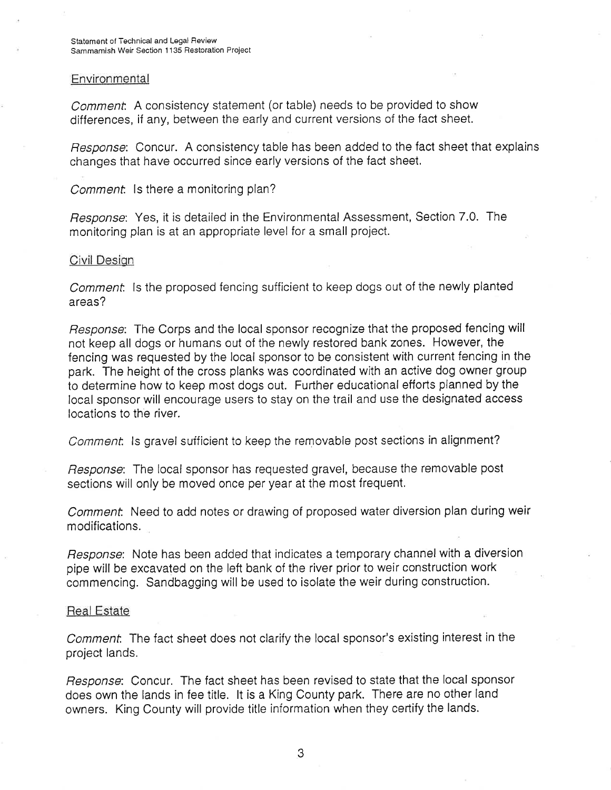### Environmental

Comment. A consistency statement (or table) needs to be provided to show differences, if any, between the early and current versions of the fact sheet.

Response: Concur. A consistency table has been added to the fact sheet that explains changes that have occurred since early versions of the fact sheet.

Comment. Is there a monitoring plan?

Response: Yes, it is detailed in the Environmental Assessment, Section 7.0. The monitoring plan is at an appropriate level for a small project.

### Civil Design

Comment. Is the proposed fencing sufficient to keep dogs out of the newly planted areas?

Response: The Corps and the local sponsor recognize that the proposed fencing will not keep all dogs or humans out of the newly restored bank zones. However, the fencing was requested by the local sponsor to be consistent with current fencing in the park. The heíght of the cross planks was coordinated with an active dog owner group to determine how to keep most dogs out. Further educational efforts planned by the local sponsor will encourage users to stay on the traíl and use the designated access locations to the river.

Comment. Is gravel sufficient to keep the removable post sections in alignment?

Response: The local sponsor has requested gravel, because the removable post sections will only be moved once per year at the most frequent.

Comment. Need to add notes or drawing of proposed water diversion plan during weir modifications.

Response: Note has been added that indicates a temporary channel with a diversion pipe will be excavated on the left bank of the river prior to weír construction work commencing. Sandbagging will be used to isolate the weir during construction.

#### Real Estate

Comment. The fact sheet does not clarify the local sponsor's existing interest in the project lands.

Response: Concur. The fact sheet has been revised to state that the local sponsor does own the lands in fee title. lt is a King County park. There are no other land owners. King County will provide title information when they certify the lands.

3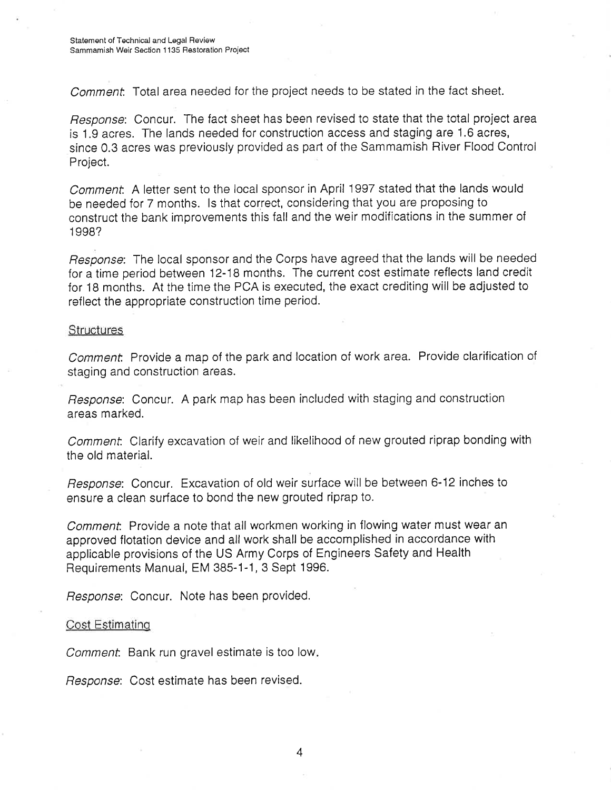Comment. Total area needed for the project needs to be stated in the fact sheet.

Response: Concur. The fact sheet has been revised to state that the total project area is 1.9 acres. The lands needed for construction access and staging are 1.6 acres, since 0.3 acres was previously provided as part of the Sammamish River Flood Control Project.

Comment. A letter sent to the local sponsor in April 1997 stated that the lands would be needed for 7 months. ls that correct, considering that you are proposing to construct the bank improvements this fall and the weir modifications in the summer of <sup>1</sup>998?

Response: The local sponsor and the Corps have agreed that the lands will be needed for a time period between 12-18 months. The current cost estimate reflects land credit for 1B months. At the time the PCA is executed, the exact crediting will be adjusted to reflect the appropriate construction time period.

#### **Structures**

Comment. Provide a map of the park and location of work area. Provide clarification of staging and construction areas.

Response: Concur. A park map has been included with staging and construction areas marked.

Comment. Clarify excavation of weir and likelihood of new grouted riprap bonding with the old material.

Response: Concur. Excavation of old weir surface will be between 6-12 inches to ensure a clean surface to bond the new grouted riprap to.

Comment. Provide a note that all workmen working in flowing water must wear an approved flotation device and all work shall be accomplished in accordance with applicable provisions of the US Army Corps of Engineers Safety and Health Requirements Manual, EM 385-1-1, 3 Sept 1996.

Response: Concur. Note has been provided.

# Cost Estimating

Comment. Bank run gravel estimate is too low.

Response: Cost estimate has been revised.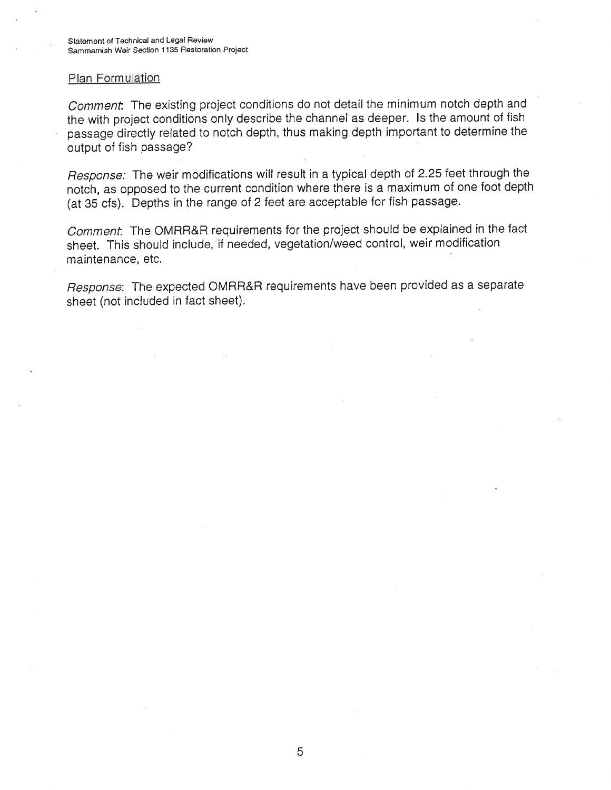#### Plan Formulation

Comment. The existing project conditions do not detail the minimum notch depth and the with project conditions only describe the channel as deeper. ls the amount of fish passage directly related to notch depth, thus making depth imporlant to determine the output of fish passage?

Response: The weir modifications will result in a typical depth of 2.25 feet through the notch, as opposed to the current condition where there is a maximum of one foot depth (at 35 cfs). Depths in the range of 2 feet are acceptable for fish passage.

Comment. The OMRR&R requirements for the project should be explained in the fact sheet. This should include, if needed, vegetation/weed control, weir modification maintenance, etc.

Response: The expected OMRR&R requirements have been provided as a separate sheet (not included in fact sheet).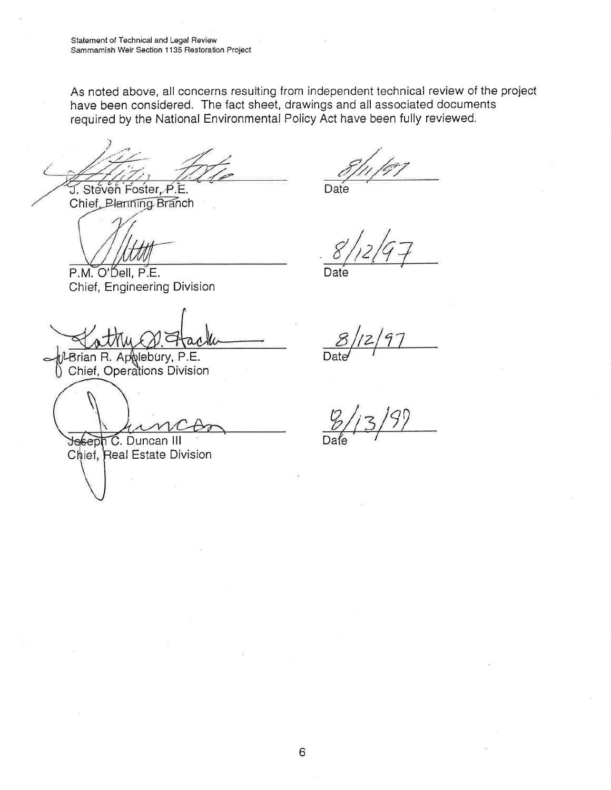Statement of Technical and Legal Review Sammamish Weir Section 1135 Restoration Project

As noted above, all concerns resulting from independent technical review of the project have been considered. The fact sheet, drawings and all associated documents required by the National Environmental Policy Act have been fully reviewed.

J. Steven Foster, P.E.

Chief Planning Branch

Date

Date

P.M. O'Dell. P.E. Chief, Engineering Division

Brian R. Applebury, P.E. Chief, Operations Division

Jeseph C. Duncan III Chief, Real Estate Division